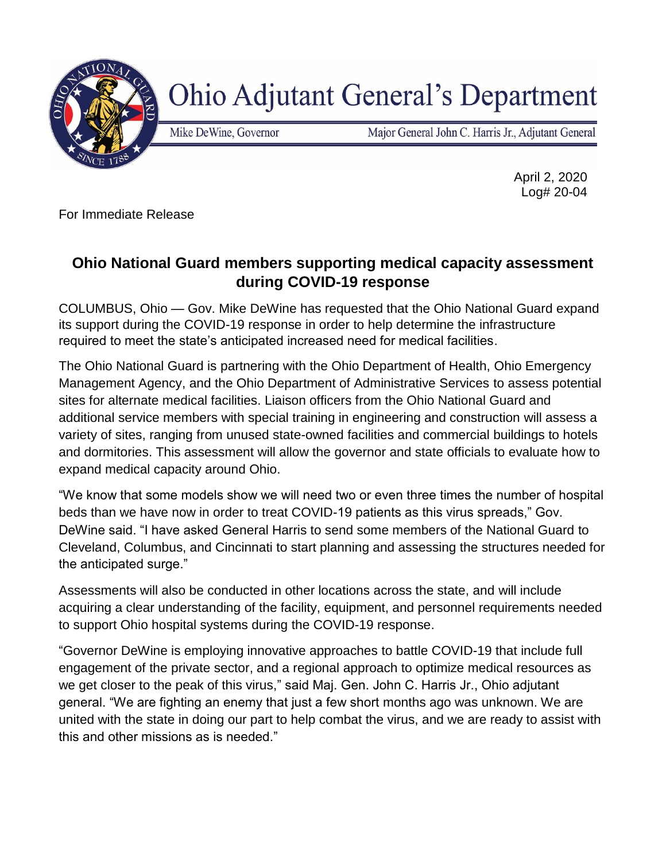

## **Ohio Adjutant General's Department**

Mike DeWine, Governor

Major General John C. Harris Jr., Adjutant General

April 2, 2020 Log# 20-04

For Immediate Release

## **Ohio National Guard members supporting medical capacity assessment during COVID-19 response**

COLUMBUS, Ohio — Gov. Mike DeWine has requested that the Ohio National Guard expand its support during the COVID-19 response in order to help determine the infrastructure required to meet the state's anticipated increased need for medical facilities.

The Ohio National Guard is partnering with the Ohio Department of Health, Ohio Emergency Management Agency, and the Ohio Department of Administrative Services to assess potential sites for alternate medical facilities. Liaison officers from the Ohio National Guard and additional service members with special training in engineering and construction will assess a variety of sites, ranging from unused state-owned facilities and commercial buildings to hotels and dormitories. This assessment will allow the governor and state officials to evaluate how to expand medical capacity around Ohio.

"We know that some models show we will need two or even three times the number of hospital beds than we have now in order to treat COVID-19 patients as this virus spreads," Gov. DeWine said. "I have asked General Harris to send some members of the National Guard to Cleveland, Columbus, and Cincinnati to start planning and assessing the structures needed for the anticipated surge."

Assessments will also be conducted in other locations across the state, and will include acquiring a clear understanding of the facility, equipment, and personnel requirements needed to support Ohio hospital systems during the COVID-19 response.

"Governor DeWine is employing innovative approaches to battle COVID-19 that include full engagement of the private sector, and a regional approach to optimize medical resources as we get closer to the peak of this virus," said Maj. Gen. John C. Harris Jr., Ohio adjutant general. "We are fighting an enemy that just a few short months ago was unknown. We are united with the state in doing our part to help combat the virus, and we are ready to assist with this and other missions as is needed."